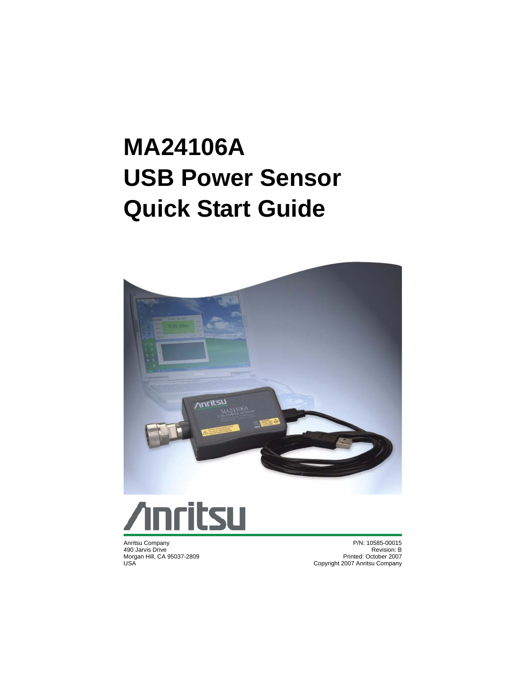# **MA24106A USB Power Sensor Quick Start Guide**





Anritsu Company 490 Jarvis Drive Morgan Hill, CA 95037-2809 USA

P/N: 10585-00015 Revision: B Printed: October 2007 Copyright 2007 Anritsu Company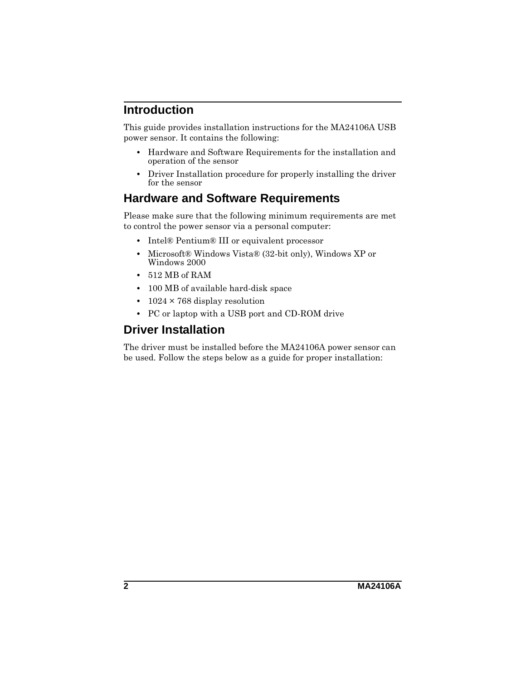### **Introduction**

This guide provides installation instructions for the MA24106A USB power sensor. It contains the following:

- **•** Hardware and Software Requirements for the installation and operation of the sensor
- **•** Driver Installation procedure for properly installing the driver for the sensor

#### **Hardware and Software Requirements**

Please make sure that the following minimum requirements are met to control the power sensor via a personal computer:

- **•** Intel® Pentium® III or equivalent processor
- **•** Microsoft® Windows Vista® (32-bit only), Windows XP or Windows 2000
- **•** 512 MB of RAM
- **•** 100 MB of available hard-disk space
- **•** 1024 × 768 display resolution
- **•** PC or laptop with a USB port and CD-ROM drive

## **Driver Installation**

The driver must be installed before the MA24106A power sensor can be used. Follow the steps below as a guide for proper installation: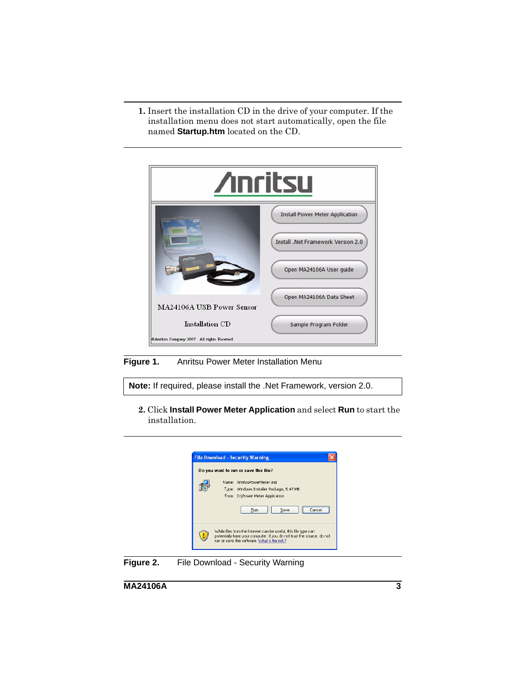**1.** Insert the installation CD in the drive of your computer. If the installation menu does not start automatically, open the file named **Startup.htm** located on the CD.



**Figure 1.** Anritsu Power Meter Installation Menu

**Note:** If required, please install the .Net Framework, version 2.0.

**2.** Click **Install Power Meter Application** and select **Run** to start the installation.



**Figure 2.** File Download - Security Warning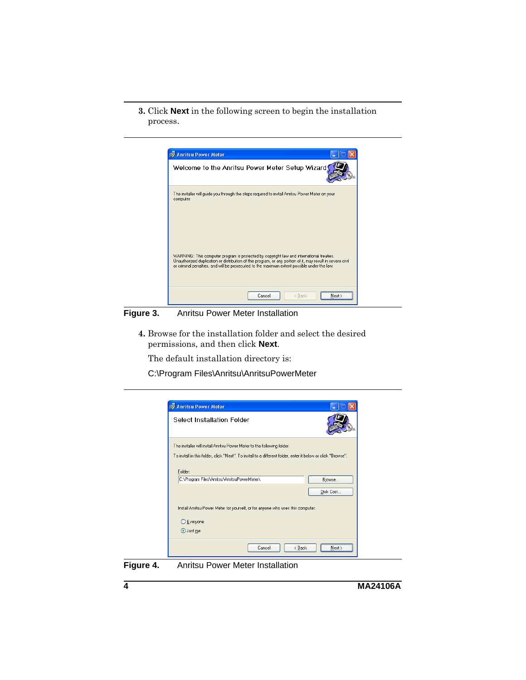**3.** Click **Next** in the following screen to begin the installation process.



**Figure 3.** Anritsu Power Meter Installation

**4.** Browse for the installation folder and select the desired permissions, and then click **Next**.

The default installation directory is:

C:\Program Files\Anritsu\AnritsuPowerMeter



**Figure 4.** Anritsu Power Meter Installation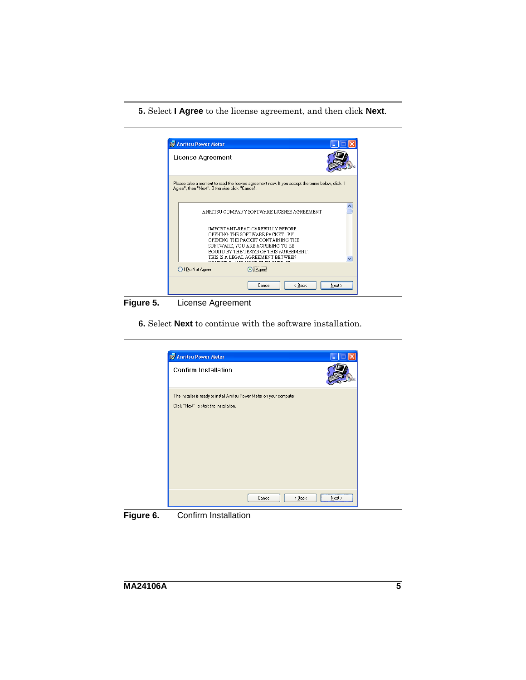**5.** Select **I Agree** to the license agreement, and then click **Next**.



**Figure 5.** License Agreement

**6.** Select **Next** to continue with the software installation.



**Figure 6.** Confirm Installation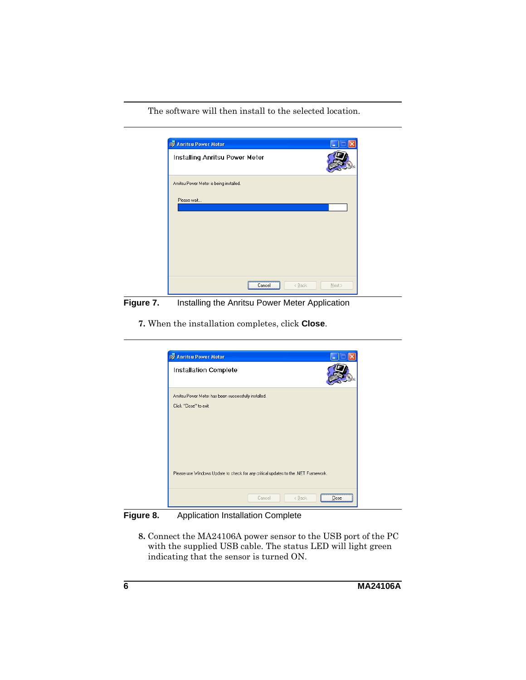The software will then install to the selected location.



**Figure 7.** Installing the Anritsu Power Meter Application

**7.** When the installation completes, click **Close**.



**Figure 8.** Application Installation Complete

**8.** Connect the MA24106A power sensor to the USB port of the PC with the supplied USB cable. The status LED will light green indicating that the sensor is turned ON.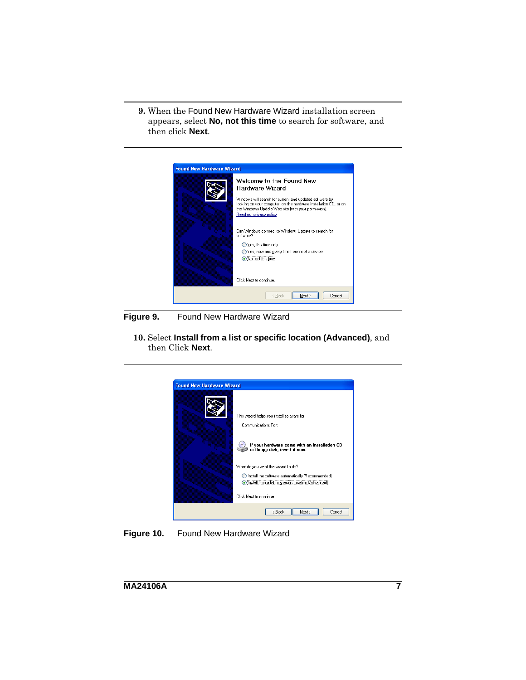**9.** When the Found New Hardware Wizard installation screen appears, select **No, not this time** to search for software, and then click **Next**.



**Figure 9.** Found New Hardware Wizard

**10.** Select **Install from a list or specific location (Advanced)**, and then Click **Next**.



**Figure 10.** Found New Hardware Wizard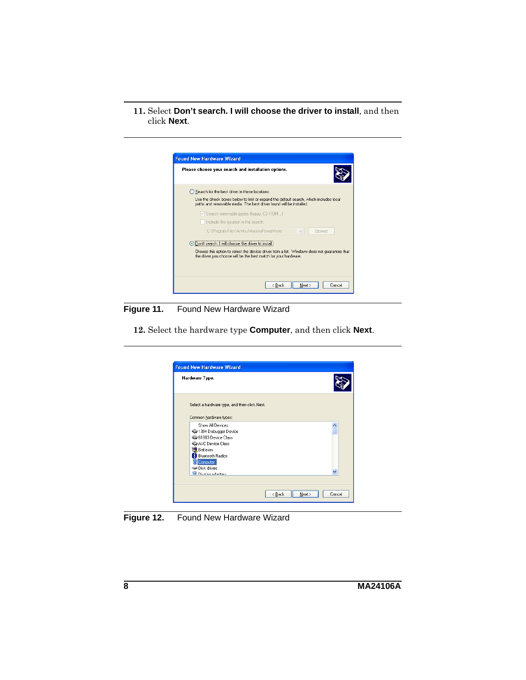**11.** Select **Don't search. I will choose the driver to install**, and then click **Next**.

| <b>Found New Hardware Wizard</b>                                                                                                                               |  |  |  |
|----------------------------------------------------------------------------------------------------------------------------------------------------------------|--|--|--|
| Please choose your search and installation options.                                                                                                            |  |  |  |
| ◯ Search for the best driver in these locations.                                                                                                               |  |  |  |
| Use the check boxes below to limit or expand the default search, which includes local<br>paths and removable media. The best driver found will be installed.   |  |  |  |
| Search removable media (floppy, CD-ROM)                                                                                                                        |  |  |  |
| Include this location in the search:                                                                                                                           |  |  |  |
| C:\Program Files\Anritsu\AnristuPowerMeter<br>Browse                                                                                                           |  |  |  |
| ⊙ Don't search. I will choose the driver to install.                                                                                                           |  |  |  |
| Choose this option to select the device driver from a list. Windows does not guarantee that<br>the driver you choose will be the best match for your hardware. |  |  |  |
|                                                                                                                                                                |  |  |  |
| < Back<br>Next ><br>Cancel                                                                                                                                     |  |  |  |

**Figure 11.** Found New Hardware Wizard

**12.** Select the hardware type **Computer**, and then click **Next**.



**Figure 12.** Found New Hardware Wizard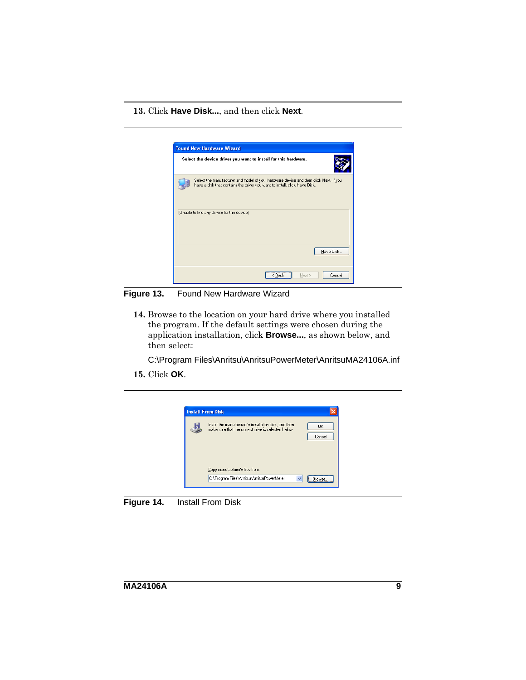**13.** Click **Have Disk...**, and then click **Next**.



**Figure 13.** Found New Hardware Wizard

**14.** Browse to the location on your hard drive where you installed the program. If the default settings were chosen during the application installation, click **Browse...**, as shown below, and then select:

C:\Program Files\Anritsu\AnritsuPowerMeter\AnritsuMA24106A.inf

**15.** Click **OK**.



**Figure 14.** Install From Disk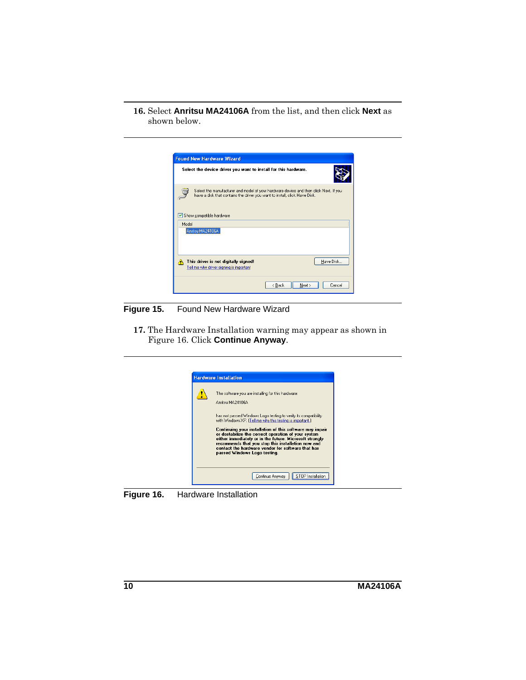#### **16.** Select **Anritsu MA24106A** from the list, and then click **Next** as shown below.



**Figure 15.** Found New Hardware Wizard

**17.** The Hardware Installation warning may appear as shown in Figure 16. Click **Continue Anyway**.



**Figure 16.** Hardware Installation